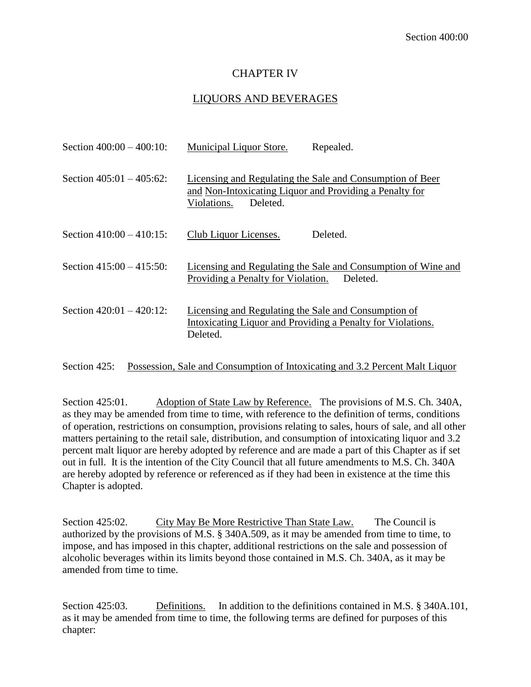# CHAPTER IV

# LIQUORS AND BEVERAGES

| Section $400:00 - 400:10$ : | <b>Municipal Liquor Store.</b>                                                     | Repealed.                                                                 |
|-----------------------------|------------------------------------------------------------------------------------|---------------------------------------------------------------------------|
| Section $405:01 - 405:62$ : | and Non-Intoxicating Liquor and Providing a Penalty for<br>Deleted.<br>Violations. | Licensing and Regulating the Sale and Consumption of Beer                 |
| Section $410:00 - 410:15$ : | Club Liquor Licenses.                                                              | Deleted.                                                                  |
| Section $415:00 - 415:50$ : | Providing a Penalty for Violation.                                                 | Licensing and Regulating the Sale and Consumption of Wine and<br>Deleted. |
| Section $420:01 - 420:12$ : | Licensing and Regulating the Sale and Consumption of<br>Deleted.                   | Intoxicating Liquor and Providing a Penalty for Violations.               |

Section 425: Possession, Sale and Consumption of Intoxicating and 3.2 Percent Malt Liquor

Section 425:01. Adoption of State Law by Reference. The provisions of M.S. Ch. 340A, as they may be amended from time to time, with reference to the definition of terms, conditions of operation, restrictions on consumption, provisions relating to sales, hours of sale, and all other matters pertaining to the retail sale, distribution, and consumption of intoxicating liquor and 3.2 percent malt liquor are hereby adopted by reference and are made a part of this Chapter as if set out in full. It is the intention of the City Council that all future amendments to M.S. Ch. 340A are hereby adopted by reference or referenced as if they had been in existence at the time this Chapter is adopted.

Section 425:02. City May Be More Restrictive Than State Law. The Council is authorized by the provisions of M.S. § 340A.509, as it may be amended from time to time, to impose, and has imposed in this chapter, additional restrictions on the sale and possession of alcoholic beverages within its limits beyond those contained in M.S. Ch. 340A, as it may be amended from time to time.

Section 425:03. Definitions. In addition to the definitions contained in M.S. § 340A.101, as it may be amended from time to time, the following terms are defined for purposes of this chapter: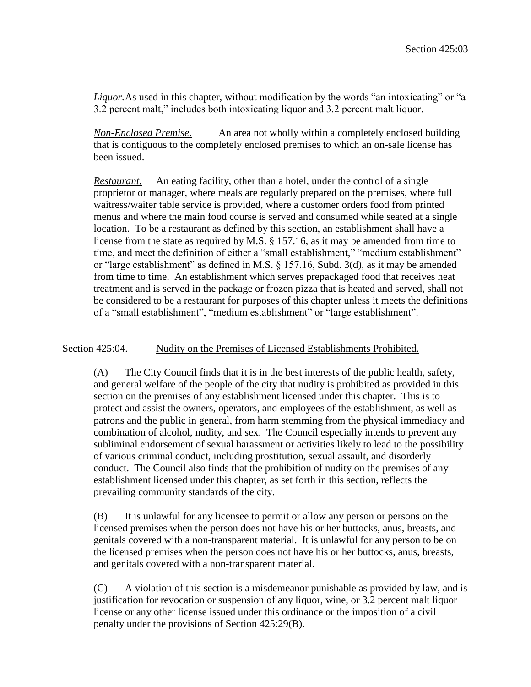*Liquor.*As used in this chapter, without modification by the words "an intoxicating" or "a 3.2 percent malt," includes both intoxicating liquor and 3.2 percent malt liquor.

*Non-Enclosed Premise*. An area not wholly within a completely enclosed building that is contiguous to the completely enclosed premises to which an on-sale license has been issued.

*Restaurant.* An eating facility, other than a hotel, under the control of a single proprietor or manager, where meals are regularly prepared on the premises, where full waitress/waiter table service is provided, where a customer orders food from printed menus and where the main food course is served and consumed while seated at a single location. To be a restaurant as defined by this section, an establishment shall have a license from the state as required by M.S. § 157.16, as it may be amended from time to time, and meet the definition of either a "small establishment," "medium establishment" or "large establishment" as defined in M.S. § 157.16, Subd. 3(d), as it may be amended from time to time. An establishment which serves prepackaged food that receives heat treatment and is served in the package or frozen pizza that is heated and served, shall not be considered to be a restaurant for purposes of this chapter unless it meets the definitions of a "small establishment", "medium establishment" or "large establishment".

Section 425:04. Nudity on the Premises of Licensed Establishments Prohibited.

(A) The City Council finds that it is in the best interests of the public health, safety, and general welfare of the people of the city that nudity is prohibited as provided in this section on the premises of any establishment licensed under this chapter. This is to protect and assist the owners, operators, and employees of the establishment, as well as patrons and the public in general, from harm stemming from the physical immediacy and combination of alcohol, nudity, and sex. The Council especially intends to prevent any subliminal endorsement of sexual harassment or activities likely to lead to the possibility of various criminal conduct, including prostitution, sexual assault, and disorderly conduct. The Council also finds that the prohibition of nudity on the premises of any establishment licensed under this chapter, as set forth in this section, reflects the prevailing community standards of the city.

(B) It is unlawful for any licensee to permit or allow any person or persons on the licensed premises when the person does not have his or her buttocks, anus, breasts, and genitals covered with a non-transparent material. It is unlawful for any person to be on the licensed premises when the person does not have his or her buttocks, anus, breasts, and genitals covered with a non-transparent material.

(C) A violation of this section is a misdemeanor punishable as provided by law, and is justification for revocation or suspension of any liquor, wine, or 3.2 percent malt liquor license or any other license issued under this ordinance or the imposition of a civil penalty under the provisions of Section 425:29(B).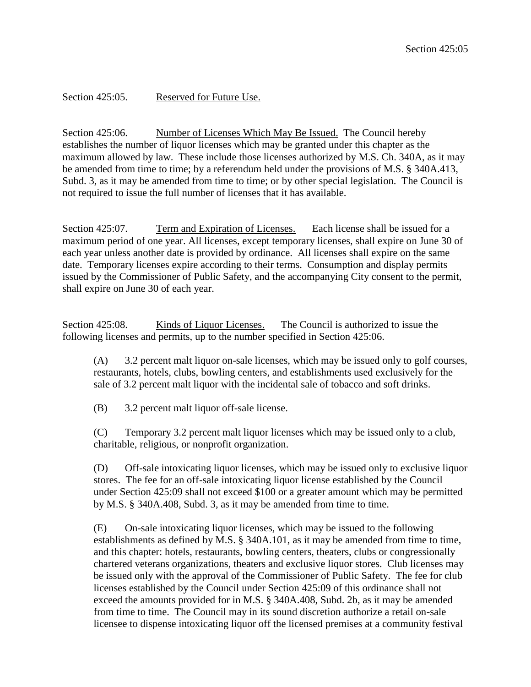Section 425:05. Reserved for Future Use.

Section 425:06. Number of Licenses Which May Be Issued. The Council hereby establishes the number of liquor licenses which may be granted under this chapter as the maximum allowed by law. These include those licenses authorized by M.S. Ch. 340A, as it may be amended from time to time; by a referendum held under the provisions of M.S. § 340A.413, Subd. 3, as it may be amended from time to time; or by other special legislation. The Council is not required to issue the full number of licenses that it has available.

Section 425:07. Term and Expiration of Licenses. Each license shall be issued for a maximum period of one year. All licenses, except temporary licenses, shall expire on June 30 of each year unless another date is provided by ordinance. All licenses shall expire on the same date. Temporary licenses expire according to their terms. Consumption and display permits issued by the Commissioner of Public Safety, and the accompanying City consent to the permit, shall expire on June 30 of each year.

Section 425:08. Kinds of Liquor Licenses. The Council is authorized to issue the following licenses and permits, up to the number specified in Section 425:06.

(A) 3.2 percent malt liquor on-sale licenses, which may be issued only to golf courses, restaurants, hotels, clubs, bowling centers, and establishments used exclusively for the sale of 3.2 percent malt liquor with the incidental sale of tobacco and soft drinks.

(B) 3.2 percent malt liquor off-sale license.

(C) Temporary 3.2 percent malt liquor licenses which may be issued only to a club, charitable, religious, or nonprofit organization.

(D) Off-sale intoxicating liquor licenses, which may be issued only to exclusive liquor stores. The fee for an off-sale intoxicating liquor license established by the Council under Section 425:09 shall not exceed \$100 or a greater amount which may be permitted by M.S. § 340A.408, Subd. 3, as it may be amended from time to time.

(E) On-sale intoxicating liquor licenses, which may be issued to the following establishments as defined by M.S. § 340A.101, as it may be amended from time to time, and this chapter: hotels, restaurants, bowling centers, theaters, clubs or congressionally chartered veterans organizations, theaters and exclusive liquor stores. Club licenses may be issued only with the approval of the Commissioner of Public Safety. The fee for club licenses established by the Council under Section 425:09 of this ordinance shall not exceed the amounts provided for in M.S. § 340A.408, Subd. 2b, as it may be amended from time to time. The Council may in its sound discretion authorize a retail on-sale licensee to dispense intoxicating liquor off the licensed premises at a community festival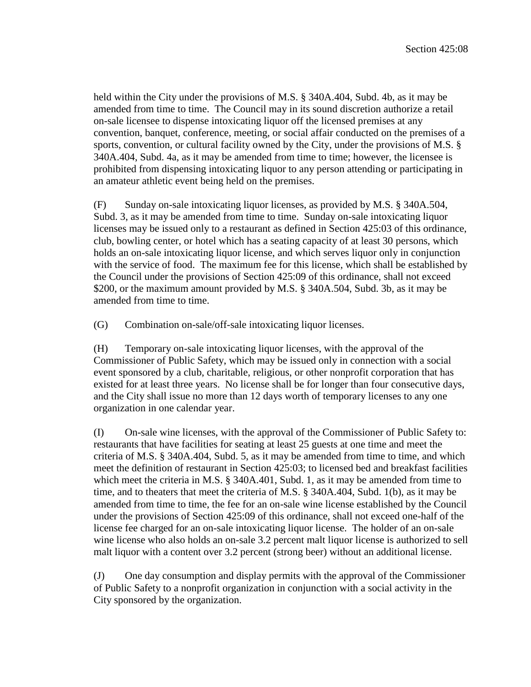held within the City under the provisions of M.S. § 340A.404, Subd. 4b, as it may be amended from time to time. The Council may in its sound discretion authorize a retail on-sale licensee to dispense intoxicating liquor off the licensed premises at any convention, banquet, conference, meeting, or social affair conducted on the premises of a sports, convention, or cultural facility owned by the City, under the provisions of M.S. § 340A.404, Subd. 4a, as it may be amended from time to time; however, the licensee is prohibited from dispensing intoxicating liquor to any person attending or participating in an amateur athletic event being held on the premises.

(F) Sunday on-sale intoxicating liquor licenses, as provided by M.S. § 340A.504, Subd. 3, as it may be amended from time to time. Sunday on-sale intoxicating liquor licenses may be issued only to a restaurant as defined in Section 425:03 of this ordinance, club, bowling center, or hotel which has a seating capacity of at least 30 persons, which holds an on-sale intoxicating liquor license, and which serves liquor only in conjunction with the service of food. The maximum fee for this license, which shall be established by the Council under the provisions of Section 425:09 of this ordinance, shall not exceed \$200, or the maximum amount provided by M.S. § 340A.504, Subd. 3b, as it may be amended from time to time.

(G) Combination on-sale/off-sale intoxicating liquor licenses.

(H) Temporary on-sale intoxicating liquor licenses, with the approval of the Commissioner of Public Safety, which may be issued only in connection with a social event sponsored by a club, charitable, religious, or other nonprofit corporation that has existed for at least three years. No license shall be for longer than four consecutive days, and the City shall issue no more than 12 days worth of temporary licenses to any one organization in one calendar year.

(I) On-sale wine licenses, with the approval of the Commissioner of Public Safety to: restaurants that have facilities for seating at least 25 guests at one time and meet the criteria of M.S. § 340A.404, Subd. 5, as it may be amended from time to time, and which meet the definition of restaurant in Section 425:03; to licensed bed and breakfast facilities which meet the criteria in M.S. § 340A.401, Subd. 1, as it may be amended from time to time, and to theaters that meet the criteria of M.S. § 340A.404, Subd. 1(b), as it may be amended from time to time, the fee for an on-sale wine license established by the Council under the provisions of Section 425:09 of this ordinance, shall not exceed one-half of the license fee charged for an on-sale intoxicating liquor license. The holder of an on-sale wine license who also holds an on-sale 3.2 percent malt liquor license is authorized to sell malt liquor with a content over 3.2 percent (strong beer) without an additional license.

(J) One day consumption and display permits with the approval of the Commissioner of Public Safety to a nonprofit organization in conjunction with a social activity in the City sponsored by the organization.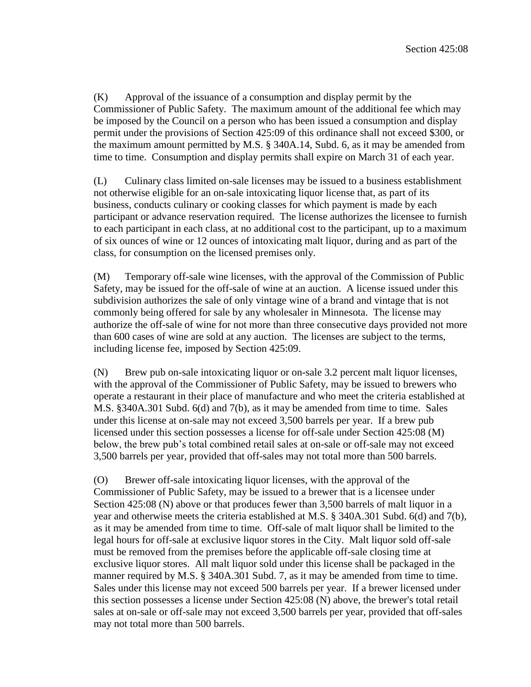(K) Approval of the issuance of a consumption and display permit by the Commissioner of Public Safety. The maximum amount of the additional fee which may be imposed by the Council on a person who has been issued a consumption and display permit under the provisions of Section 425:09 of this ordinance shall not exceed \$300, or the maximum amount permitted by M.S. § 340A.14, Subd. 6, as it may be amended from time to time. Consumption and display permits shall expire on March 31 of each year.

(L) Culinary class limited on-sale licenses may be issued to a business establishment not otherwise eligible for an on-sale intoxicating liquor license that, as part of its business, conducts culinary or cooking classes for which payment is made by each participant or advance reservation required. The license authorizes the licensee to furnish to each participant in each class, at no additional cost to the participant, up to a maximum of six ounces of wine or 12 ounces of intoxicating malt liquor, during and as part of the class, for consumption on the licensed premises only.

(M) Temporary off-sale wine licenses, with the approval of the Commission of Public Safety, may be issued for the off-sale of wine at an auction. A license issued under this subdivision authorizes the sale of only vintage wine of a brand and vintage that is not commonly being offered for sale by any wholesaler in Minnesota. The license may authorize the off-sale of wine for not more than three consecutive days provided not more than 600 cases of wine are sold at any auction. The licenses are subject to the terms, including license fee, imposed by Section 425:09.

(N) Brew pub on-sale intoxicating liquor or on-sale 3.2 percent malt liquor licenses, with the approval of the Commissioner of Public Safety, may be issued to brewers who operate a restaurant in their place of manufacture and who meet the criteria established at M.S. §340A.301 Subd. 6(d) and 7(b), as it may be amended from time to time. Sales under this license at on-sale may not exceed 3,500 barrels per year. If a brew pub licensed under this section possesses a license for off-sale under Section 425:08 (M) below, the brew pub's total combined retail sales at on-sale or off-sale may not exceed 3,500 barrels per year, provided that off-sales may not total more than 500 barrels.

(O) Brewer off-sale intoxicating liquor licenses, with the approval of the Commissioner of Public Safety, may be issued to a brewer that is a licensee under Section 425:08 (N) above or that produces fewer than 3,500 barrels of malt liquor in a year and otherwise meets the criteria established at M.S. § 340A.301 Subd. 6(d) and 7(b), as it may be amended from time to time. Off-sale of malt liquor shall be limited to the legal hours for off-sale at exclusive liquor stores in the City. Malt liquor sold off-sale must be removed from the premises before the applicable off-sale closing time at exclusive liquor stores. All malt liquor sold under this license shall be packaged in the manner required by M.S. § 340A.301 Subd. 7, as it may be amended from time to time. Sales under this license may not exceed 500 barrels per year. If a brewer licensed under this section possesses a license under Section 425:08 (N) above, the brewer's total retail sales at on-sale or off-sale may not exceed 3,500 barrels per year, provided that off-sales may not total more than 500 barrels.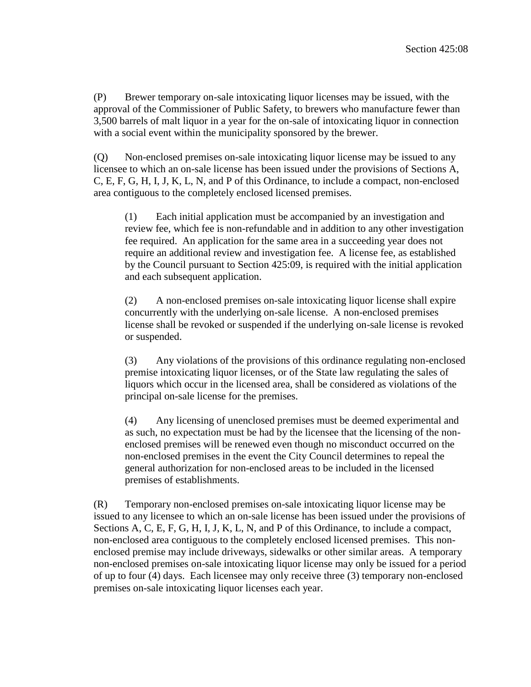(P) Brewer temporary on-sale intoxicating liquor licenses may be issued, with the approval of the Commissioner of Public Safety, to brewers who manufacture fewer than 3,500 barrels of malt liquor in a year for the on-sale of intoxicating liquor in connection with a social event within the municipality sponsored by the brewer.

(Q) Non-enclosed premises on-sale intoxicating liquor license may be issued to any licensee to which an on-sale license has been issued under the provisions of Sections A, C, E, F, G, H, I, J, K, L, N, and P of this Ordinance, to include a compact, non-enclosed area contiguous to the completely enclosed licensed premises.

(1) Each initial application must be accompanied by an investigation and review fee, which fee is non-refundable and in addition to any other investigation fee required. An application for the same area in a succeeding year does not require an additional review and investigation fee. A license fee, as established by the Council pursuant to Section 425:09, is required with the initial application and each subsequent application.

(2) A non-enclosed premises on-sale intoxicating liquor license shall expire concurrently with the underlying on-sale license. A non-enclosed premises license shall be revoked or suspended if the underlying on-sale license is revoked or suspended.

(3) Any violations of the provisions of this ordinance regulating non-enclosed premise intoxicating liquor licenses, or of the State law regulating the sales of liquors which occur in the licensed area, shall be considered as violations of the principal on-sale license for the premises.

(4) Any licensing of unenclosed premises must be deemed experimental and as such, no expectation must be had by the licensee that the licensing of the nonenclosed premises will be renewed even though no misconduct occurred on the non-enclosed premises in the event the City Council determines to repeal the general authorization for non-enclosed areas to be included in the licensed premises of establishments.

(R) Temporary non-enclosed premises on-sale intoxicating liquor license may be issued to any licensee to which an on-sale license has been issued under the provisions of Sections A, C, E, F, G, H, I, J, K, L, N, and P of this Ordinance, to include a compact, non-enclosed area contiguous to the completely enclosed licensed premises. This nonenclosed premise may include driveways, sidewalks or other similar areas. A temporary non-enclosed premises on-sale intoxicating liquor license may only be issued for a period of up to four (4) days. Each licensee may only receive three (3) temporary non-enclosed premises on-sale intoxicating liquor licenses each year.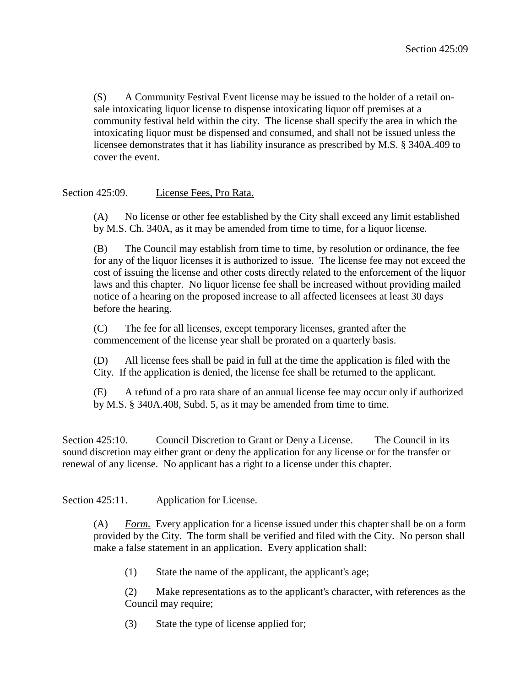(S) A Community Festival Event license may be issued to the holder of a retail onsale intoxicating liquor license to dispense intoxicating liquor off premises at a community festival held within the city. The license shall specify the area in which the intoxicating liquor must be dispensed and consumed, and shall not be issued unless the licensee demonstrates that it has liability insurance as prescribed by M.S. § 340A.409 to cover the event.

### Section 425:09. License Fees, Pro Rata.

(A) No license or other fee established by the City shall exceed any limit established by M.S. Ch. 340A, as it may be amended from time to time, for a liquor license.

(B) The Council may establish from time to time, by resolution or ordinance, the fee for any of the liquor licenses it is authorized to issue. The license fee may not exceed the cost of issuing the license and other costs directly related to the enforcement of the liquor laws and this chapter. No liquor license fee shall be increased without providing mailed notice of a hearing on the proposed increase to all affected licensees at least 30 days before the hearing.

(C) The fee for all licenses, except temporary licenses, granted after the commencement of the license year shall be prorated on a quarterly basis.

(D) All license fees shall be paid in full at the time the application is filed with the City. If the application is denied, the license fee shall be returned to the applicant.

(E) A refund of a pro rata share of an annual license fee may occur only if authorized by M.S. § 340A.408, Subd. 5, as it may be amended from time to time.

Section 425:10. Council Discretion to Grant or Deny a License. The Council in its sound discretion may either grant or deny the application for any license or for the transfer or renewal of any license. No applicant has a right to a license under this chapter.

### Section 425:11. Application for License.

(A) *Form.* Every application for a license issued under this chapter shall be on a form provided by the City. The form shall be verified and filed with the City. No person shall make a false statement in an application. Every application shall:

(1) State the name of the applicant, the applicant's age;

(2) Make representations as to the applicant's character, with references as the Council may require;

(3) State the type of license applied for;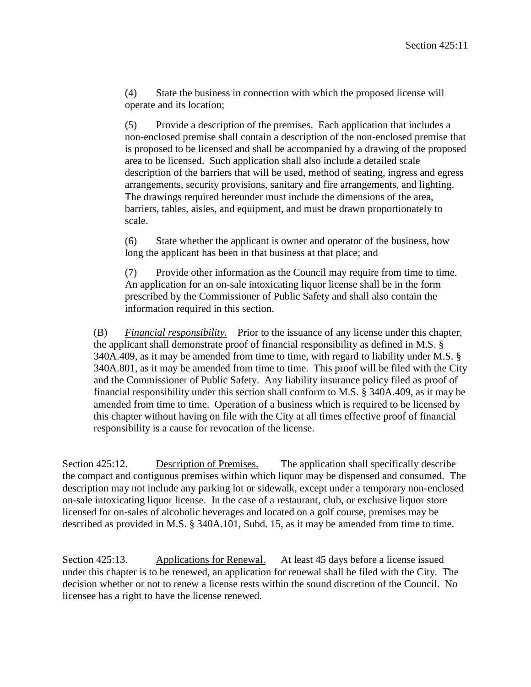(4) State the business in connection with which the proposed license will operate and its location;

(5) Provide a description of the premises. Each application that includes a non-enclosed premise shall contain a description of the non-enclosed premise that is proposed to be licensed and shall be accompanied by a drawing of the proposed area to be licensed. Such application shall also include a detailed scale description of the barriers that will be used, method of seating, ingress and egress arrangements, security provisions, sanitary and fire arrangements, and lighting. The drawings required hereunder must include the dimensions of the area, barriers, tables, aisles, and equipment, and must be drawn proportionately to scale.

(6) State whether the applicant is owner and operator of the business, how long the applicant has been in that business at that place; and

(7) Provide other information as the Council may require from time to time. An application for an on-sale intoxicating liquor license shall be in the form prescribed by the Commissioner of Public Safety and shall also contain the information required in this section.

(B) *Financial responsibility.* Prior to the issuance of any license under this chapter, the applicant shall demonstrate proof of financial responsibility as defined in M.S. § 340A.409, as it may be amended from time to time, with regard to liability under M.S. § 340A.801, as it may be amended from time to time. This proof will be filed with the City and the Commissioner of Public Safety. Any liability insurance policy filed as proof of financial responsibility under this section shall conform to M.S. § 340A.409, as it may be amended from time to time. Operation of a business which is required to be licensed by this chapter without having on file with the City at all times effective proof of financial responsibility is a cause for revocation of the license.

Section 425:12. Description of Premises. The application shall specifically describe the compact and contiguous premises within which liquor may be dispensed and consumed. The description may not include any parking lot or sidewalk, except under a temporary non-enclosed on-sale intoxicating liquor license. In the case of a restaurant, club, or exclusive liquor store licensed for on-sales of alcoholic beverages and located on a golf course, premises may be described as provided in M.S. § 340A.101, Subd. 15, as it may be amended from time to time.

Section 425:13. Applications for Renewal. At least 45 days before a license issued under this chapter is to be renewed, an application for renewal shall be filed with the City. The decision whether or not to renew a license rests within the sound discretion of the Council. No licensee has a right to have the license renewed.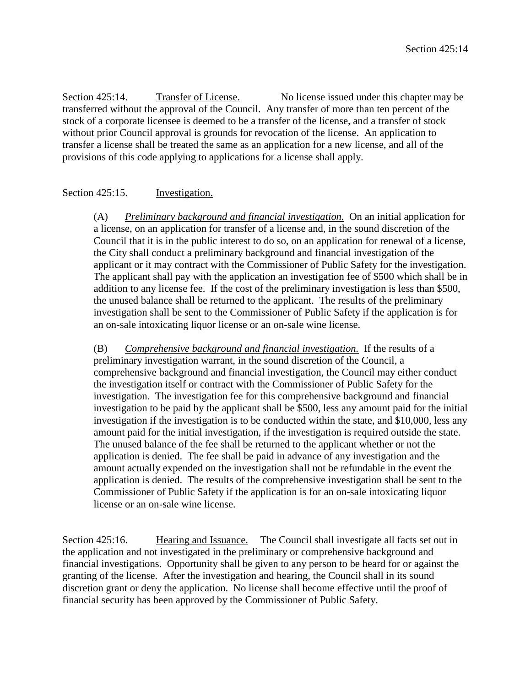Section 425:14. Transfer of License. No license issued under this chapter may be transferred without the approval of the Council. Any transfer of more than ten percent of the stock of a corporate licensee is deemed to be a transfer of the license, and a transfer of stock without prior Council approval is grounds for revocation of the license. An application to transfer a license shall be treated the same as an application for a new license, and all of the provisions of this code applying to applications for a license shall apply.

### Section 425:15. Investigation.

(A) *Preliminary background and financial investigation.* On an initial application for a license, on an application for transfer of a license and, in the sound discretion of the Council that it is in the public interest to do so, on an application for renewal of a license, the City shall conduct a preliminary background and financial investigation of the applicant or it may contract with the Commissioner of Public Safety for the investigation. The applicant shall pay with the application an investigation fee of \$500 which shall be in addition to any license fee. If the cost of the preliminary investigation is less than \$500, the unused balance shall be returned to the applicant. The results of the preliminary investigation shall be sent to the Commissioner of Public Safety if the application is for an on-sale intoxicating liquor license or an on-sale wine license.

(B) *Comprehensive background and financial investigation.* If the results of a preliminary investigation warrant, in the sound discretion of the Council, a comprehensive background and financial investigation, the Council may either conduct the investigation itself or contract with the Commissioner of Public Safety for the investigation. The investigation fee for this comprehensive background and financial investigation to be paid by the applicant shall be \$500, less any amount paid for the initial investigation if the investigation is to be conducted within the state, and \$10,000, less any amount paid for the initial investigation, if the investigation is required outside the state. The unused balance of the fee shall be returned to the applicant whether or not the application is denied. The fee shall be paid in advance of any investigation and the amount actually expended on the investigation shall not be refundable in the event the application is denied. The results of the comprehensive investigation shall be sent to the Commissioner of Public Safety if the application is for an on-sale intoxicating liquor license or an on-sale wine license.

Section 425:16. Hearing and Issuance. The Council shall investigate all facts set out in the application and not investigated in the preliminary or comprehensive background and financial investigations. Opportunity shall be given to any person to be heard for or against the granting of the license. After the investigation and hearing, the Council shall in its sound discretion grant or deny the application. No license shall become effective until the proof of financial security has been approved by the Commissioner of Public Safety.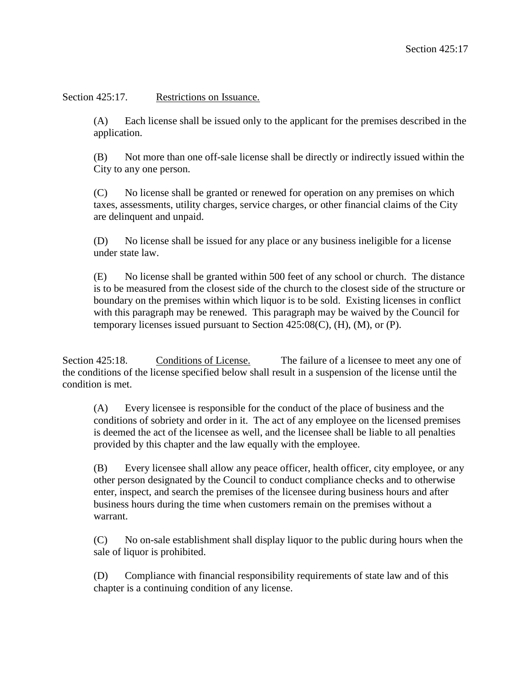Section 425:17. Restrictions on Issuance.

(A) Each license shall be issued only to the applicant for the premises described in the application.

(B) Not more than one off-sale license shall be directly or indirectly issued within the City to any one person.

(C) No license shall be granted or renewed for operation on any premises on which taxes, assessments, utility charges, service charges, or other financial claims of the City are delinquent and unpaid.

(D) No license shall be issued for any place or any business ineligible for a license under state law.

(E) No license shall be granted within 500 feet of any school or church. The distance is to be measured from the closest side of the church to the closest side of the structure or boundary on the premises within which liquor is to be sold. Existing licenses in conflict with this paragraph may be renewed. This paragraph may be waived by the Council for temporary licenses issued pursuant to Section  $425:08(C)$ , (H), (M), or (P).

Section 425:18. Conditions of License. The failure of a licensee to meet any one of the conditions of the license specified below shall result in a suspension of the license until the condition is met.

(A) Every licensee is responsible for the conduct of the place of business and the conditions of sobriety and order in it. The act of any employee on the licensed premises is deemed the act of the licensee as well, and the licensee shall be liable to all penalties provided by this chapter and the law equally with the employee.

(B) Every licensee shall allow any peace officer, health officer, city employee, or any other person designated by the Council to conduct compliance checks and to otherwise enter, inspect, and search the premises of the licensee during business hours and after business hours during the time when customers remain on the premises without a warrant.

(C) No on-sale establishment shall display liquor to the public during hours when the sale of liquor is prohibited.

(D) Compliance with financial responsibility requirements of state law and of this chapter is a continuing condition of any license.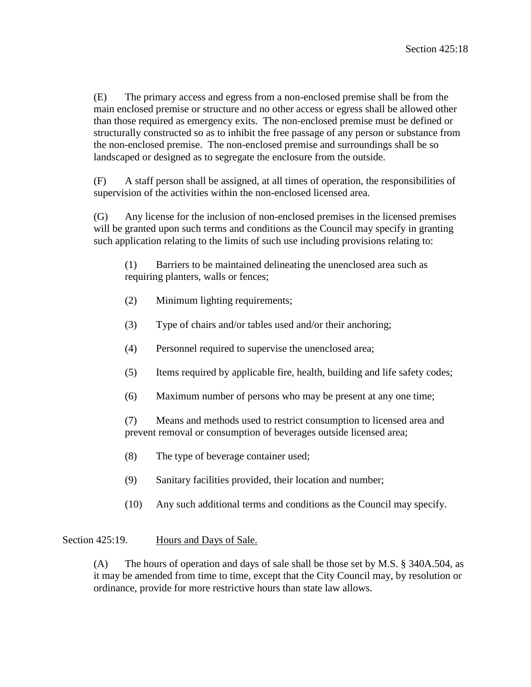(E) The primary access and egress from a non-enclosed premise shall be from the main enclosed premise or structure and no other access or egress shall be allowed other than those required as emergency exits. The non-enclosed premise must be defined or structurally constructed so as to inhibit the free passage of any person or substance from the non-enclosed premise. The non-enclosed premise and surroundings shall be so landscaped or designed as to segregate the enclosure from the outside.

(F) A staff person shall be assigned, at all times of operation, the responsibilities of supervision of the activities within the non-enclosed licensed area.

(G) Any license for the inclusion of non-enclosed premises in the licensed premises will be granted upon such terms and conditions as the Council may specify in granting such application relating to the limits of such use including provisions relating to:

(1) Barriers to be maintained delineating the unenclosed area such as requiring planters, walls or fences;

- (2) Minimum lighting requirements;
- (3) Type of chairs and/or tables used and/or their anchoring;
- (4) Personnel required to supervise the unenclosed area;
- (5) Items required by applicable fire, health, building and life safety codes;
- (6) Maximum number of persons who may be present at any one time;

(7) Means and methods used to restrict consumption to licensed area and prevent removal or consumption of beverages outside licensed area;

- (8) The type of beverage container used;
- (9) Sanitary facilities provided, their location and number;
- (10) Any such additional terms and conditions as the Council may specify.

## Section 425:19. Hours and Days of Sale.

(A) The hours of operation and days of sale shall be those set by M.S. § 340A.504, as it may be amended from time to time, except that the City Council may, by resolution or ordinance, provide for more restrictive hours than state law allows.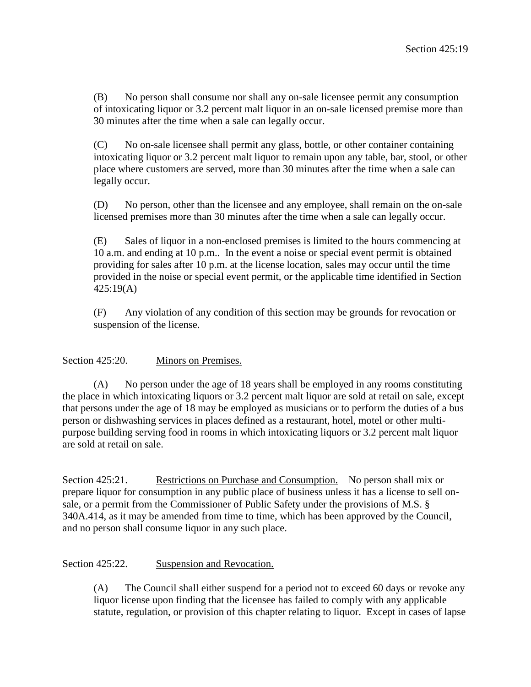(B) No person shall consume nor shall any on-sale licensee permit any consumption of intoxicating liquor or 3.2 percent malt liquor in an on-sale licensed premise more than 30 minutes after the time when a sale can legally occur.

(C) No on-sale licensee shall permit any glass, bottle, or other container containing intoxicating liquor or 3.2 percent malt liquor to remain upon any table, bar, stool, or other place where customers are served, more than 30 minutes after the time when a sale can legally occur.

(D) No person, other than the licensee and any employee, shall remain on the on-sale licensed premises more than 30 minutes after the time when a sale can legally occur.

(E) Sales of liquor in a non-enclosed premises is limited to the hours commencing at 10 a.m. and ending at 10 p.m.. In the event a noise or special event permit is obtained providing for sales after 10 p.m. at the license location, sales may occur until the time provided in the noise or special event permit, or the applicable time identified in Section 425:19(A)

(F) Any violation of any condition of this section may be grounds for revocation or suspension of the license.

### Section 425:20. Minors on Premises.

(A) No person under the age of 18 years shall be employed in any rooms constituting the place in which intoxicating liquors or 3.2 percent malt liquor are sold at retail on sale, except that persons under the age of 18 may be employed as musicians or to perform the duties of a bus person or dishwashing services in places defined as a restaurant, hotel, motel or other multipurpose building serving food in rooms in which intoxicating liquors or 3.2 percent malt liquor are sold at retail on sale.

Section 425:21. Restrictions on Purchase and Consumption. No person shall mix or prepare liquor for consumption in any public place of business unless it has a license to sell onsale, or a permit from the Commissioner of Public Safety under the provisions of M.S. § 340A.414, as it may be amended from time to time, which has been approved by the Council, and no person shall consume liquor in any such place.

#### Section 425:22. Suspension and Revocation.

(A) The Council shall either suspend for a period not to exceed 60 days or revoke any liquor license upon finding that the licensee has failed to comply with any applicable statute, regulation, or provision of this chapter relating to liquor. Except in cases of lapse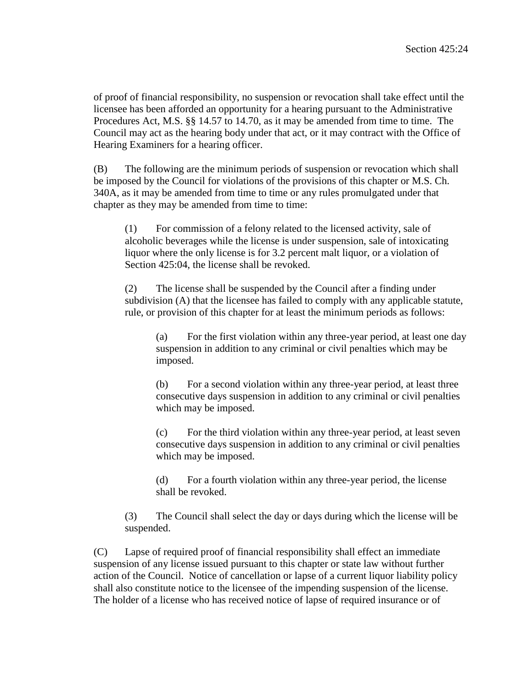of proof of financial responsibility, no suspension or revocation shall take effect until the licensee has been afforded an opportunity for a hearing pursuant to the Administrative Procedures Act, M.S. §§ 14.57 to 14.70, as it may be amended from time to time. The Council may act as the hearing body under that act, or it may contract with the Office of Hearing Examiners for a hearing officer.

(B) The following are the minimum periods of suspension or revocation which shall be imposed by the Council for violations of the provisions of this chapter or M.S. Ch. 340A, as it may be amended from time to time or any rules promulgated under that chapter as they may be amended from time to time:

(1) For commission of a felony related to the licensed activity, sale of alcoholic beverages while the license is under suspension, sale of intoxicating liquor where the only license is for 3.2 percent malt liquor, or a violation of Section 425:04, the license shall be revoked.

(2) The license shall be suspended by the Council after a finding under subdivision (A) that the licensee has failed to comply with any applicable statute, rule, or provision of this chapter for at least the minimum periods as follows:

(a) For the first violation within any three-year period, at least one day suspension in addition to any criminal or civil penalties which may be imposed.

(b) For a second violation within any three-year period, at least three consecutive days suspension in addition to any criminal or civil penalties which may be imposed.

(c) For the third violation within any three-year period, at least seven consecutive days suspension in addition to any criminal or civil penalties which may be imposed.

(d) For a fourth violation within any three-year period, the license shall be revoked.

(3) The Council shall select the day or days during which the license will be suspended.

(C) Lapse of required proof of financial responsibility shall effect an immediate suspension of any license issued pursuant to this chapter or state law without further action of the Council. Notice of cancellation or lapse of a current liquor liability policy shall also constitute notice to the licensee of the impending suspension of the license. The holder of a license who has received notice of lapse of required insurance or of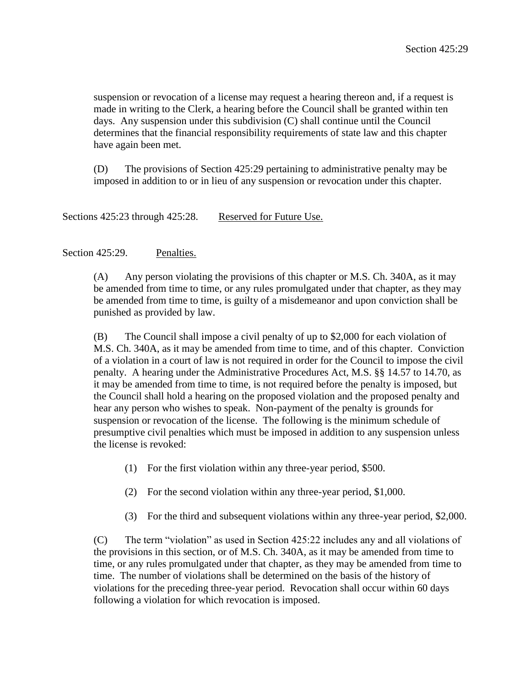suspension or revocation of a license may request a hearing thereon and, if a request is made in writing to the Clerk, a hearing before the Council shall be granted within ten days. Any suspension under this subdivision (C) shall continue until the Council determines that the financial responsibility requirements of state law and this chapter have again been met.

(D) The provisions of Section 425:29 pertaining to administrative penalty may be imposed in addition to or in lieu of any suspension or revocation under this chapter.

Sections 425:23 through 425:28. Reserved for Future Use.

#### Section 425:29. Penalties.

(A) Any person violating the provisions of this chapter or M.S. Ch. 340A, as it may be amended from time to time, or any rules promulgated under that chapter, as they may be amended from time to time, is guilty of a misdemeanor and upon conviction shall be punished as provided by law.

(B) The Council shall impose a civil penalty of up to \$2,000 for each violation of M.S. Ch. 340A, as it may be amended from time to time, and of this chapter. Conviction of a violation in a court of law is not required in order for the Council to impose the civil penalty. A hearing under the Administrative Procedures Act, M.S. §§ 14.57 to 14.70, as it may be amended from time to time, is not required before the penalty is imposed, but the Council shall hold a hearing on the proposed violation and the proposed penalty and hear any person who wishes to speak. Non-payment of the penalty is grounds for suspension or revocation of the license. The following is the minimum schedule of presumptive civil penalties which must be imposed in addition to any suspension unless the license is revoked:

- (1) For the first violation within any three-year period, \$500.
- (2) For the second violation within any three-year period, \$1,000.
- (3) For the third and subsequent violations within any three-year period, \$2,000.

(C) The term "violation" as used in Section 425:22 includes any and all violations of the provisions in this section, or of M.S. Ch. 340A, as it may be amended from time to time, or any rules promulgated under that chapter, as they may be amended from time to time. The number of violations shall be determined on the basis of the history of violations for the preceding three-year period. Revocation shall occur within 60 days following a violation for which revocation is imposed.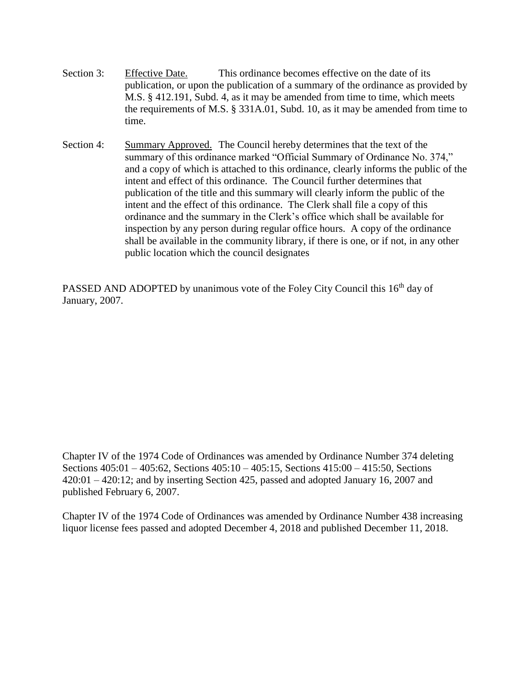- Section 3: Effective Date. This ordinance becomes effective on the date of its publication, or upon the publication of a summary of the ordinance as provided by M.S. § 412.191, Subd. 4, as it may be amended from time to time, which meets the requirements of M.S. § 331A.01, Subd. 10, as it may be amended from time to time.
- Section 4: Summary Approved. The Council hereby determines that the text of the summary of this ordinance marked "Official Summary of Ordinance No. 374," and a copy of which is attached to this ordinance, clearly informs the public of the intent and effect of this ordinance. The Council further determines that publication of the title and this summary will clearly inform the public of the intent and the effect of this ordinance. The Clerk shall file a copy of this ordinance and the summary in the Clerk's office which shall be available for inspection by any person during regular office hours. A copy of the ordinance shall be available in the community library, if there is one, or if not, in any other public location which the council designates

PASSED AND ADOPTED by unanimous vote of the Foley City Council this 16<sup>th</sup> day of January, 2007.

Chapter IV of the 1974 Code of Ordinances was amended by Ordinance Number 374 deleting Sections 405:01 – 405:62, Sections 405:10 – 405:15, Sections 415:00 – 415:50, Sections 420:01 – 420:12; and by inserting Section 425, passed and adopted January 16, 2007 and published February 6, 2007.

Chapter IV of the 1974 Code of Ordinances was amended by Ordinance Number 438 increasing liquor license fees passed and adopted December 4, 2018 and published December 11, 2018.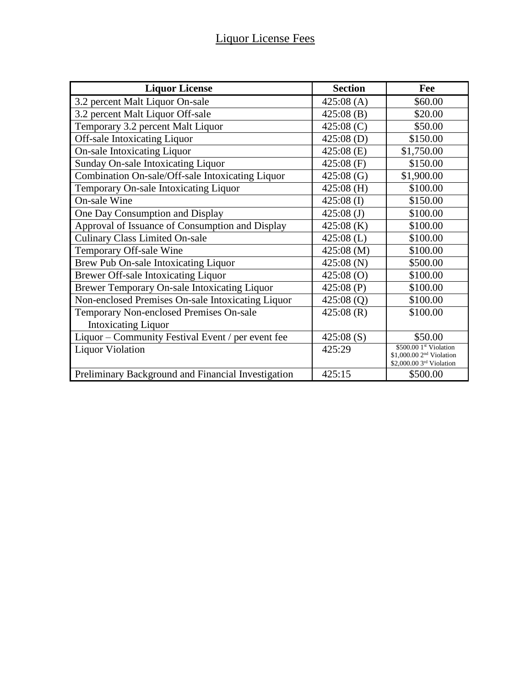| <b>Liquor License</b>                              | <b>Section</b> | Fee                                                |
|----------------------------------------------------|----------------|----------------------------------------------------|
| 3.2 percent Malt Liquor On-sale                    | 425:08(A)      | \$60.00                                            |
| 3.2 percent Malt Liquor Off-sale                   | 425:08(B)      | \$20.00                                            |
| Temporary 3.2 percent Malt Liquor                  | 425:08(C)      | \$50.00                                            |
| Off-sale Intoxicating Liquor                       | 425:08(D)      | \$150.00                                           |
| <b>On-sale Intoxicating Liquor</b>                 | 425:08(E)      | \$1,750.00                                         |
| Sunday On-sale Intoxicating Liquor                 | $425:08$ (F)   | \$150.00                                           |
| Combination On-sale/Off-sale Intoxicating Liquor   | 425:08(G)      | \$1,900.00                                         |
| Temporary On-sale Intoxicating Liquor              | $425:08$ (H)   | \$100.00                                           |
| On-sale Wine                                       | $425:08$ (I)   | \$150.00                                           |
| One Day Consumption and Display                    | $425:08$ (J)   | \$100.00                                           |
| Approval of Issuance of Consumption and Display    | 425:08(K)      | \$100.00                                           |
| <b>Culinary Class Limited On-sale</b>              | $425:08$ (L)   | \$100.00                                           |
| Temporary Off-sale Wine                            | 425:08 (M)     | \$100.00                                           |
| Brew Pub On-sale Intoxicating Liquor               | 425:08(N)      | \$500.00                                           |
| <b>Brewer Off-sale Intoxicating Liquor</b>         | 425:08(0)      | \$100.00                                           |
| Brewer Temporary On-sale Intoxicating Liquor       | 425:08(P)      | \$100.00                                           |
| Non-enclosed Premises On-sale Intoxicating Liquor  | 425:08(Q)      | \$100.00                                           |
| Temporary Non-enclosed Premises On-sale            | 425:08(R)      | \$100.00                                           |
| <b>Intoxicating Liquor</b>                         |                |                                                    |
| Liquor – Community Festival Event / per event fee  | 425:08(S)      | \$50.00                                            |
| <b>Liquor Violation</b>                            | 425:29         | \$500.00 1st Violation<br>$$1,000.002nd$ Violation |
|                                                    |                | \$2,000.00 3rd Violation                           |
| Preliminary Background and Financial Investigation | 425:15         | \$500.00                                           |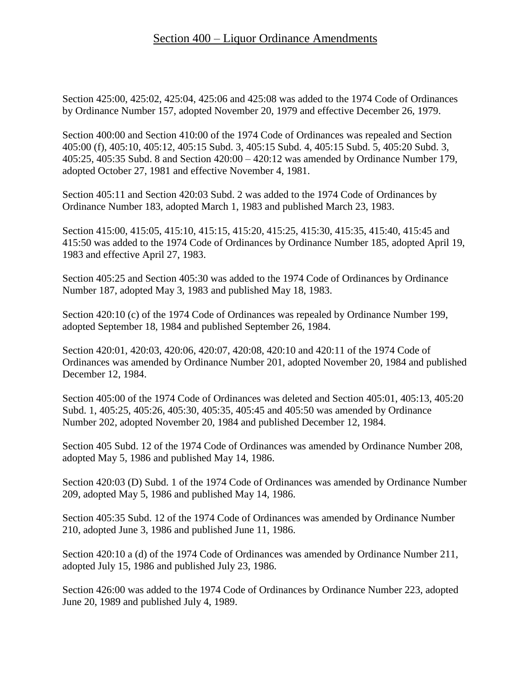Section 425:00, 425:02, 425:04, 425:06 and 425:08 was added to the 1974 Code of Ordinances by Ordinance Number 157, adopted November 20, 1979 and effective December 26, 1979.

Section 400:00 and Section 410:00 of the 1974 Code of Ordinances was repealed and Section 405:00 (f), 405:10, 405:12, 405:15 Subd. 3, 405:15 Subd. 4, 405:15 Subd. 5, 405:20 Subd. 3, 405:25, 405:35 Subd. 8 and Section 420:00 – 420:12 was amended by Ordinance Number 179, adopted October 27, 1981 and effective November 4, 1981.

Section 405:11 and Section 420:03 Subd. 2 was added to the 1974 Code of Ordinances by Ordinance Number 183, adopted March 1, 1983 and published March 23, 1983.

Section 415:00, 415:05, 415:10, 415:15, 415:20, 415:25, 415:30, 415:35, 415:40, 415:45 and 415:50 was added to the 1974 Code of Ordinances by Ordinance Number 185, adopted April 19, 1983 and effective April 27, 1983.

Section 405:25 and Section 405:30 was added to the 1974 Code of Ordinances by Ordinance Number 187, adopted May 3, 1983 and published May 18, 1983.

Section 420:10 (c) of the 1974 Code of Ordinances was repealed by Ordinance Number 199, adopted September 18, 1984 and published September 26, 1984.

Section 420:01, 420:03, 420:06, 420:07, 420:08, 420:10 and 420:11 of the 1974 Code of Ordinances was amended by Ordinance Number 201, adopted November 20, 1984 and published December 12, 1984.

Section 405:00 of the 1974 Code of Ordinances was deleted and Section 405:01, 405:13, 405:20 Subd. 1, 405:25, 405:26, 405:30, 405:35, 405:45 and 405:50 was amended by Ordinance Number 202, adopted November 20, 1984 and published December 12, 1984.

Section 405 Subd. 12 of the 1974 Code of Ordinances was amended by Ordinance Number 208, adopted May 5, 1986 and published May 14, 1986.

Section 420:03 (D) Subd. 1 of the 1974 Code of Ordinances was amended by Ordinance Number 209, adopted May 5, 1986 and published May 14, 1986.

Section 405:35 Subd. 12 of the 1974 Code of Ordinances was amended by Ordinance Number 210, adopted June 3, 1986 and published June 11, 1986.

Section 420:10 a (d) of the 1974 Code of Ordinances was amended by Ordinance Number 211, adopted July 15, 1986 and published July 23, 1986.

Section 426:00 was added to the 1974 Code of Ordinances by Ordinance Number 223, adopted June 20, 1989 and published July 4, 1989.